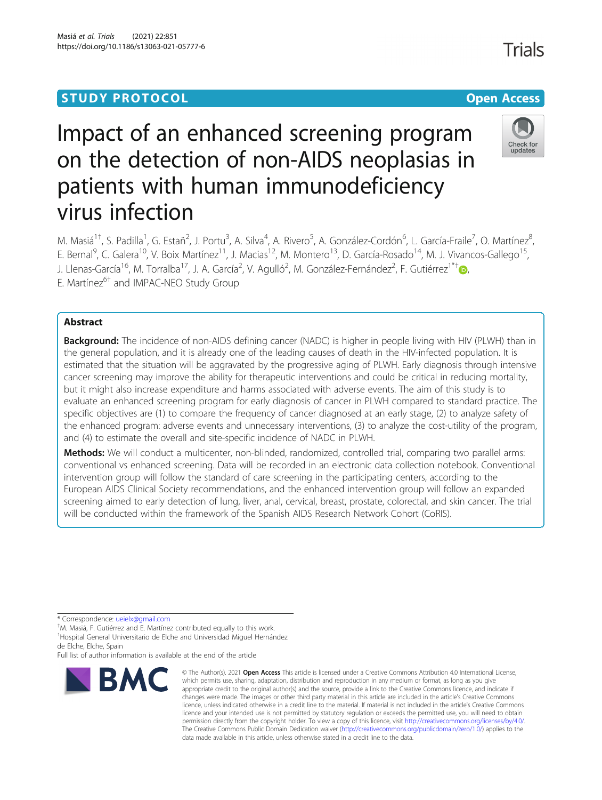# Impact of an enhanced screening program on the detection of non-AIDS neoplasias in patients with human immunodeficiency

M. Masiá<sup>1†</sup>, S. Padilla<sup>1</sup>, G. Estañ<sup>2</sup>, J. Portu<sup>3</sup>, A. Silva<sup>4</sup>, A. Rivero<sup>5</sup>, A. González-Cordón<sup>6</sup>, L. García-Fraile<sup>7</sup>, O. Martínez<sup>8</sup> , E. Bernal<sup>9</sup>, C. Galera<sup>10</sup>, V. Boix Martínez<sup>11</sup>, J. Macias<sup>12</sup>, M. Montero<sup>13</sup>, D. García-Rosado<sup>14</sup>, M. J. Vivancos-Gallego<sup>15</sup>, J. Llenas-García<sup>16</sup>[,](http://orcid.org/0000-0002-9485-6867) M. Torralba<sup>17</sup>, J. A. García<sup>2</sup>, V. Agulló<sup>2</sup>, M. González-Fernández<sup>2</sup>, F. Gutiérrez<sup>1\*†</sup>@, E. Martínez<sup>6†</sup> and IMPAC-NEO Study Group

# Abstract

**Background:** The incidence of non-AIDS defining cancer (NADC) is higher in people living with HIV (PLWH) than in the general population, and it is already one of the leading causes of death in the HIV-infected population. It is estimated that the situation will be aggravated by the progressive aging of PLWH. Early diagnosis through intensive cancer screening may improve the ability for therapeutic interventions and could be critical in reducing mortality, but it might also increase expenditure and harms associated with adverse events. The aim of this study is to evaluate an enhanced screening program for early diagnosis of cancer in PLWH compared to standard practice. The specific objectives are (1) to compare the frequency of cancer diagnosed at an early stage, (2) to analyze safety of the enhanced program: adverse events and unnecessary interventions, (3) to analyze the cost-utility of the program, and (4) to estimate the overall and site-specific incidence of NADC in PLWH.

Methods: We will conduct a multicenter, non-blinded, randomized, controlled trial, comparing two parallel arms: conventional vs enhanced screening. Data will be recorded in an electronic data collection notebook. Conventional intervention group will follow the standard of care screening in the participating centers, according to the European AIDS Clinical Society recommendations, and the enhanced intervention group will follow an expanded screening aimed to early detection of lung, liver, anal, cervical, breast, prostate, colorectal, and skin cancer. The trial will be conducted within the framework of the Spanish AIDS Research Network Cohort (CoRIS).

\* Correspondence: [ueielx@gmail.com](mailto:ueielx@gmail.com) †

M. Masiá, F. Gutiérrez and E. Martínez contributed equally to this work. <sup>1</sup> Hospital General Universitario de Elche and Universidad Miguel Hernández de Elche, Elche, Spain

Full list of author information is available at the end of the article

#### © The Author(s), 2021 **Open Access** This article is licensed under a Creative Commons Attribution 4.0 International License, which permits use, sharing, adaptation, distribution and reproduction in any medium or format, as long as you give appropriate credit to the original author(s) and the source, provide a link to the Creative Commons licence, and indicate if changes were made. The images or other third party material in this article are included in the article's Creative Commons licence, unless indicated otherwise in a credit line to the material. If material is not included in the article's Creative Commons licence and your intended use is not permitted by statutory regulation or exceeds the permitted use, you will need to obtain permission directly from the copyright holder. To view a copy of this licence, visit [http://creativecommons.org/licenses/by/4.0/.](http://creativecommons.org/licenses/by/4.0/) The Creative Commons Public Domain Dedication waiver [\(http://creativecommons.org/publicdomain/zero/1.0/](http://creativecommons.org/publicdomain/zero/1.0/)) applies to the data made available in this article, unless otherwise stated in a credit line to the data.

**BMC** 

virus infection



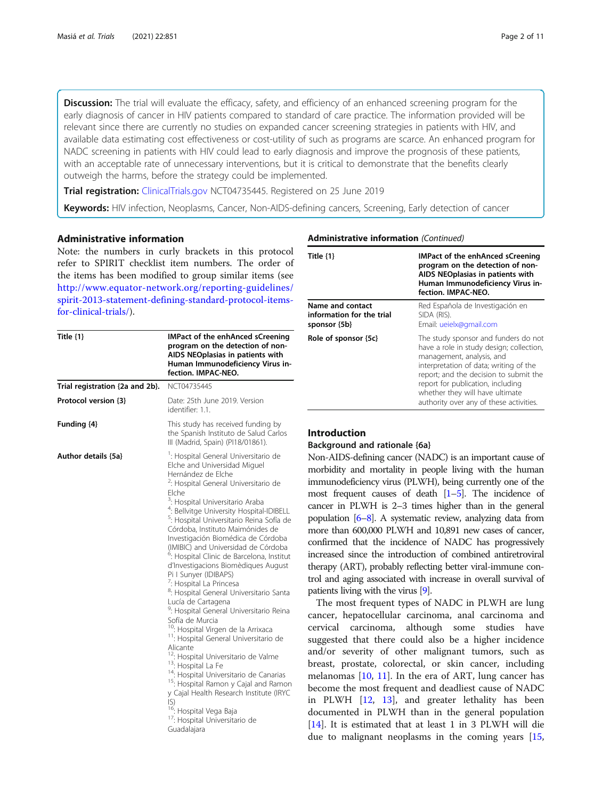Discussion: The trial will evaluate the efficacy, safety, and efficiency of an enhanced screening program for the early diagnosis of cancer in HIV patients compared to standard of care practice. The information provided will be relevant since there are currently no studies on expanded cancer screening strategies in patients with HIV, and available data estimating cost effectiveness or cost-utility of such as programs are scarce. An enhanced program for NADC screening in patients with HIV could lead to early diagnosis and improve the prognosis of these patients, with an acceptable rate of unnecessary interventions, but it is critical to demonstrate that the benefits clearly outweigh the harms, before the strategy could be implemented.

Trial registration: [ClinicalTrials.gov](http://clinicaltrials.gov) NCT04735445. Registered on 25 June 2019

Keywords: HIV infection, Neoplasms, Cancer, Non-AIDS-defining cancers, Screening, Early detection of cancer

# Administrative information

Note: the numbers in curly brackets in this protocol refer to SPIRIT checklist item numbers. The order of the items has been modified to group similar items (see [http://www.equator-network.org/reporting-guidelines/](http://www.equator-network.org/reporting-guidelines/spirit-2013-statement-defining-standard-protocol-items-for-clinical-trials/) [spirit-2013-statement-defining-standard-protocol-items](http://www.equator-network.org/reporting-guidelines/spirit-2013-statement-defining-standard-protocol-items-for-clinical-trials/)[for-clinical-trials/](http://www.equator-network.org/reporting-guidelines/spirit-2013-statement-defining-standard-protocol-items-for-clinical-trials/)).

| Title $\{1\}$                   | <b>IMPact of the enhAnced sCreening</b><br>program on the detection of non-<br>AIDS NEOplasias in patients with<br>Human Immunodeficiency Virus in-<br>fection. IMPAC-NEO.                                                                                                                                                                                                                                                                                                                                                                                                                                                                                                                                                                                                                                                                                                                                                                                                                                                                                                                                                                                                                                                                               |
|---------------------------------|----------------------------------------------------------------------------------------------------------------------------------------------------------------------------------------------------------------------------------------------------------------------------------------------------------------------------------------------------------------------------------------------------------------------------------------------------------------------------------------------------------------------------------------------------------------------------------------------------------------------------------------------------------------------------------------------------------------------------------------------------------------------------------------------------------------------------------------------------------------------------------------------------------------------------------------------------------------------------------------------------------------------------------------------------------------------------------------------------------------------------------------------------------------------------------------------------------------------------------------------------------|
| Trial registration {2a and 2b}. | NCT04735445                                                                                                                                                                                                                                                                                                                                                                                                                                                                                                                                                                                                                                                                                                                                                                                                                                                                                                                                                                                                                                                                                                                                                                                                                                              |
| Protocol version {3}            | Date: 25th June 2019. Version<br>identifier: 1.1.                                                                                                                                                                                                                                                                                                                                                                                                                                                                                                                                                                                                                                                                                                                                                                                                                                                                                                                                                                                                                                                                                                                                                                                                        |
| Funding {4}                     | This study has received funding by<br>the Spanish Instituto de Salud Carlos<br>III (Madrid, Spain) (PI18/01861).                                                                                                                                                                                                                                                                                                                                                                                                                                                                                                                                                                                                                                                                                                                                                                                                                                                                                                                                                                                                                                                                                                                                         |
| Author details {5a}             | <sup>1</sup> : Hospital General Universitario de<br>Elche and Universidad Miguel<br>Hernández de Elche<br><sup>2</sup> : Hospital General Universitario de<br>Elche<br><sup>3</sup> : Hospital Universitario Araba<br><sup>4</sup> : Bellvitge University Hospital-IDIBELL<br><sup>5</sup> : Hospital Universitario Reina Sofía de<br>Córdoba, Instituto Maimónides de<br>Investigación Biomédica de Córdoba<br>(IMIBIC) and Universidad de Córdoba<br><sup>6</sup> : Hospital Clinic de Barcelona, Institut<br>d'Investigacions Biomèdiques August<br>Pi I Sunyer (IDIBAPS)<br><sup>7</sup> : Hospital La Princesa<br><sup>8</sup> : Hospital General Universitario Santa<br>Lucía de Cartagena<br><sup>9</sup> : Hospital General Universitario Reina<br>Sofía de Murcia<br><sup>10</sup> : Hospital Virgen de la Arrixaca<br><sup>11</sup> : Hospital General Universitario de<br>Alicante<br><sup>12</sup> : Hospital Universitario de Valme<br><sup>13</sup> : Hospital La Fe<br><sup>14</sup> : Hospital Universitario de Canarias<br><sup>15</sup> : Hospital Ramon y Cajal and Ramon<br>y Cajal Health Research Institute (IRYC<br>$ S\rangle$<br><sup>16</sup> : Hospital Vega Baja<br><sup>17</sup> : Hospital Universitario de<br>Guadalajara |

### Administrative information (Continued)

| Title $\{1\}$                                                 | <b>IMPact of the enhAnced sCreening</b><br>program on the detection of non-<br>AIDS NEOplasias in patients with<br>Human Immunodeficiency Virus in-<br>fection. IMPAC-NEO.                                                                                                                                           |  |  |  |
|---------------------------------------------------------------|----------------------------------------------------------------------------------------------------------------------------------------------------------------------------------------------------------------------------------------------------------------------------------------------------------------------|--|--|--|
| Name and contact<br>information for the trial<br>sponsor {5b} | Red Española de Investigación en<br>SIDA (RIS).<br>Email: ueielx@gmail.com                                                                                                                                                                                                                                           |  |  |  |
| Role of sponsor {5c}                                          | The study sponsor and funders do not<br>have a role in study design; collection,<br>management, analysis, and<br>interpretation of data; writing of the<br>report; and the decision to submit the<br>report for publication, including<br>whether they will have ultimate<br>authority over any of these activities. |  |  |  |

# Introduction

#### Background and rationale {6a}

Non-AIDS-defining cancer (NADC) is an important cause of morbidity and mortality in people living with the human immunodeficiency virus (PLWH), being currently one of the most frequent causes of death  $[1-5]$  $[1-5]$  $[1-5]$  $[1-5]$ . The incidence of cancer in PLWH is 2–3 times higher than in the general population [[6](#page-9-0)–[8](#page-9-0)]. A systematic review, analyzing data from more than 600,000 PLWH and 10,891 new cases of cancer, confirmed that the incidence of NADC has progressively increased since the introduction of combined antiretroviral therapy (ART), probably reflecting better viral-immune control and aging associated with increase in overall survival of patients living with the virus [\[9\]](#page-9-0).

The most frequent types of NADC in PLWH are lung cancer, hepatocellular carcinoma, anal carcinoma and cervical carcinoma, although some studies have suggested that there could also be a higher incidence and/or severity of other malignant tumors, such as breast, prostate, colorectal, or skin cancer, including melanomas [[10,](#page-9-0) [11](#page-9-0)]. In the era of ART, lung cancer has become the most frequent and deadliest cause of NADC in PLWH [[12,](#page-9-0) [13](#page-9-0)], and greater lethality has been documented in PLWH than in the general population [[14\]](#page-9-0). It is estimated that at least 1 in 3 PLWH will die due to malignant neoplasms in the coming years [[15](#page-9-0),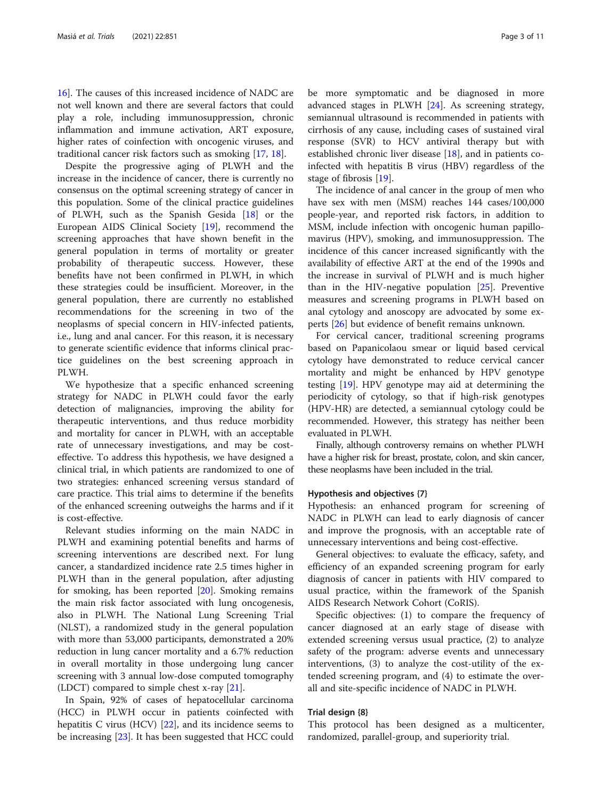[16\]](#page-9-0). The causes of this increased incidence of NADC are not well known and there are several factors that could play a role, including immunosuppression, chronic inflammation and immune activation, ART exposure, higher rates of coinfection with oncogenic viruses, and traditional cancer risk factors such as smoking [\[17](#page-9-0), [18](#page-9-0)].

Despite the progressive aging of PLWH and the increase in the incidence of cancer, there is currently no consensus on the optimal screening strategy of cancer in this population. Some of the clinical practice guidelines of PLWH, such as the Spanish Gesida [[18\]](#page-9-0) or the European AIDS Clinical Society [[19\]](#page-9-0), recommend the screening approaches that have shown benefit in the general population in terms of mortality or greater probability of therapeutic success. However, these benefits have not been confirmed in PLWH, in which these strategies could be insufficient. Moreover, in the general population, there are currently no established recommendations for the screening in two of the neoplasms of special concern in HIV-infected patients, i.e., lung and anal cancer. For this reason, it is necessary to generate scientific evidence that informs clinical practice guidelines on the best screening approach in PLWH.

We hypothesize that a specific enhanced screening strategy for NADC in PLWH could favor the early detection of malignancies, improving the ability for therapeutic interventions, and thus reduce morbidity and mortality for cancer in PLWH, with an acceptable rate of unnecessary investigations, and may be costeffective. To address this hypothesis, we have designed a clinical trial, in which patients are randomized to one of two strategies: enhanced screening versus standard of care practice. This trial aims to determine if the benefits of the enhanced screening outweighs the harms and if it is cost-effective.

Relevant studies informing on the main NADC in PLWH and examining potential benefits and harms of screening interventions are described next. For lung cancer, a standardized incidence rate 2.5 times higher in PLWH than in the general population, after adjusting for smoking, has been reported [\[20](#page-9-0)]. Smoking remains the main risk factor associated with lung oncogenesis, also in PLWH. The National Lung Screening Trial (NLST), a randomized study in the general population with more than 53,000 participants, demonstrated a 20% reduction in lung cancer mortality and a 6.7% reduction in overall mortality in those undergoing lung cancer screening with 3 annual low-dose computed tomography (LDCT) compared to simple chest x-ray [\[21](#page-9-0)].

In Spain, 92% of cases of hepatocellular carcinoma (HCC) in PLWH occur in patients coinfected with hepatitis C virus (HCV) [\[22\]](#page-9-0), and its incidence seems to be increasing [[23](#page-9-0)]. It has been suggested that HCC could be more symptomatic and be diagnosed in more advanced stages in PLWH [[24\]](#page-10-0). As screening strategy, semiannual ultrasound is recommended in patients with cirrhosis of any cause, including cases of sustained viral response (SVR) to HCV antiviral therapy but with established chronic liver disease [\[18](#page-9-0)], and in patients coinfected with hepatitis B virus (HBV) regardless of the stage of fibrosis [[19](#page-9-0)].

The incidence of anal cancer in the group of men who have sex with men (MSM) reaches 144 cases/100,000 people-year, and reported risk factors, in addition to MSM, include infection with oncogenic human papillomavirus (HPV), smoking, and immunosuppression. The incidence of this cancer increased significantly with the availability of effective ART at the end of the 1990s and the increase in survival of PLWH and is much higher than in the HIV-negative population [\[25\]](#page-10-0). Preventive measures and screening programs in PLWH based on anal cytology and anoscopy are advocated by some experts [\[26\]](#page-10-0) but evidence of benefit remains unknown.

For cervical cancer, traditional screening programs based on Papanicolaou smear or liquid based cervical cytology have demonstrated to reduce cervical cancer mortality and might be enhanced by HPV genotype testing [\[19\]](#page-9-0). HPV genotype may aid at determining the periodicity of cytology, so that if high-risk genotypes (HPV-HR) are detected, a semiannual cytology could be recommended. However, this strategy has neither been evaluated in PLWH.

Finally, although controversy remains on whether PLWH have a higher risk for breast, prostate, colon, and skin cancer, these neoplasms have been included in the trial.

#### Hypothesis and objectives {7}

Hypothesis: an enhanced program for screening of NADC in PLWH can lead to early diagnosis of cancer and improve the prognosis, with an acceptable rate of unnecessary interventions and being cost-effective.

General objectives: to evaluate the efficacy, safety, and efficiency of an expanded screening program for early diagnosis of cancer in patients with HIV compared to usual practice, within the framework of the Spanish AIDS Research Network Cohort (CoRIS).

Specific objectives: (1) to compare the frequency of cancer diagnosed at an early stage of disease with extended screening versus usual practice, (2) to analyze safety of the program: adverse events and unnecessary interventions, (3) to analyze the cost-utility of the extended screening program, and (4) to estimate the overall and site-specific incidence of NADC in PLWH.

#### Trial design {8}

This protocol has been designed as a multicenter, randomized, parallel-group, and superiority trial.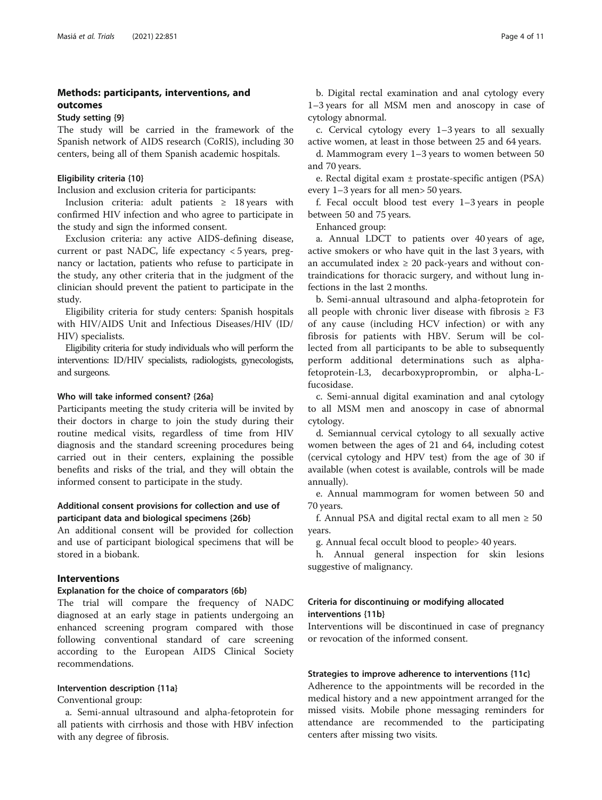# Methods: participants, interventions, and outcomes

# Study setting {9}

The study will be carried in the framework of the Spanish network of AIDS research (CoRIS), including 30 centers, being all of them Spanish academic hospitals.

# Eligibility criteria {10}

Inclusion and exclusion criteria for participants:

Inclusion criteria: adult patients  $\geq$  18 years with confirmed HIV infection and who agree to participate in the study and sign the informed consent.

Exclusion criteria: any active AIDS-defining disease, current or past NADC, life expectancy < 5 years, pregnancy or lactation, patients who refuse to participate in the study, any other criteria that in the judgment of the clinician should prevent the patient to participate in the study.

Eligibility criteria for study centers: Spanish hospitals with HIV/AIDS Unit and Infectious Diseases/HIV (ID/ HIV) specialists.

Eligibility criteria for study individuals who will perform the interventions: ID/HIV specialists, radiologists, gynecologists, and surgeons.

#### Who will take informed consent? {26a}

Participants meeting the study criteria will be invited by their doctors in charge to join the study during their routine medical visits, regardless of time from HIV diagnosis and the standard screening procedures being carried out in their centers, explaining the possible benefits and risks of the trial, and they will obtain the informed consent to participate in the study.

# Additional consent provisions for collection and use of participant data and biological specimens {26b}

An additional consent will be provided for collection and use of participant biological specimens that will be stored in a biobank.

# Interventions

# Explanation for the choice of comparators {6b}

The trial will compare the frequency of NADC diagnosed at an early stage in patients undergoing an enhanced screening program compared with those following conventional standard of care screening according to the European AIDS Clinical Society recommendations.

# Intervention description {11a}

Conventional group:

a. Semi-annual ultrasound and alpha-fetoprotein for all patients with cirrhosis and those with HBV infection with any degree of fibrosis.

cytology abnormal. c. Cervical cytology every 1–3 years to all sexually active women, at least in those between 25 and 64 years.

d. Mammogram every 1–3 years to women between 50 and 70 years.

e. Rectal digital exam ± prostate-specific antigen (PSA) every 1–3 years for all men> 50 years.

f. Fecal occult blood test every 1–3 years in people between 50 and 75 years.

Enhanced group:

a. Annual LDCT to patients over 40 years of age, active smokers or who have quit in the last 3 years, with an accumulated index  $\geq 20$  pack-years and without contraindications for thoracic surgery, and without lung infections in the last 2 months.

b. Semi-annual ultrasound and alpha-fetoprotein for all people with chronic liver disease with fibrosis  $\geq$  F3 of any cause (including HCV infection) or with any fibrosis for patients with HBV. Serum will be collected from all participants to be able to subsequently perform additional determinations such as alphafetoprotein-L3, decarboxyproprombin, or alpha-Lfucosidase.

c. Semi-annual digital examination and anal cytology to all MSM men and anoscopy in case of abnormal cytology.

d. Semiannual cervical cytology to all sexually active women between the ages of 21 and 64, including cotest (cervical cytology and HPV test) from the age of 30 if available (when cotest is available, controls will be made annually).

e. Annual mammogram for women between 50 and 70 years.

f. Annual PSA and digital rectal exam to all men  $\geq 50$ years.

g. Annual fecal occult blood to people> 40 years.

h. Annual general inspection for skin lesions suggestive of malignancy.

# Criteria for discontinuing or modifying allocated interventions {11b}

Interventions will be discontinued in case of pregnancy or revocation of the informed consent.

# Strategies to improve adherence to interventions {11c}

Adherence to the appointments will be recorded in the medical history and a new appointment arranged for the missed visits. Mobile phone messaging reminders for attendance are recommended to the participating centers after missing two visits.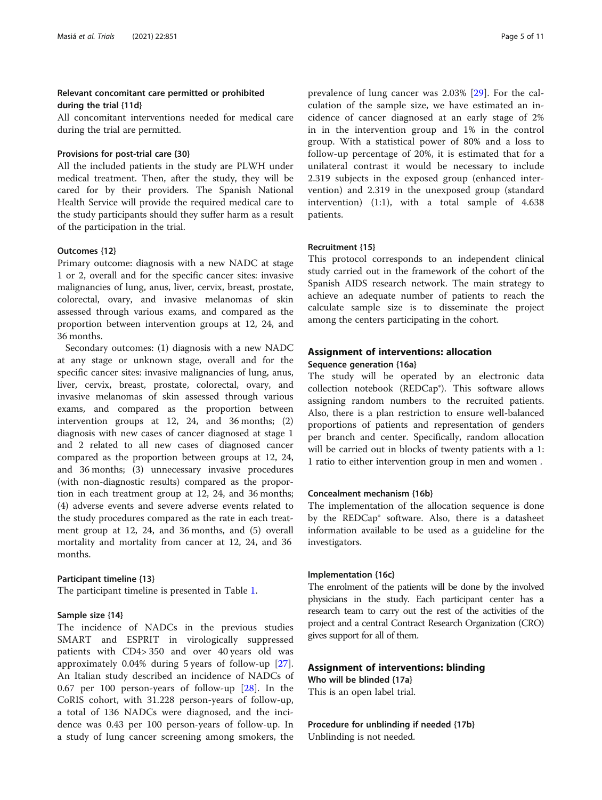# Relevant concomitant care permitted or prohibited during the trial {11d}

All concomitant interventions needed for medical care during the trial are permitted.

#### Provisions for post-trial care {30}

All the included patients in the study are PLWH under medical treatment. Then, after the study, they will be cared for by their providers. The Spanish National Health Service will provide the required medical care to the study participants should they suffer harm as a result of the participation in the trial.

# Outcomes {12}

Primary outcome: diagnosis with a new NADC at stage 1 or 2, overall and for the specific cancer sites: invasive malignancies of lung, anus, liver, cervix, breast, prostate, colorectal, ovary, and invasive melanomas of skin assessed through various exams, and compared as the proportion between intervention groups at 12, 24, and 36 months.

Secondary outcomes: (1) diagnosis with a new NADC at any stage or unknown stage, overall and for the specific cancer sites: invasive malignancies of lung, anus, liver, cervix, breast, prostate, colorectal, ovary, and invasive melanomas of skin assessed through various exams, and compared as the proportion between intervention groups at 12, 24, and 36 months; (2) diagnosis with new cases of cancer diagnosed at stage 1 and 2 related to all new cases of diagnosed cancer compared as the proportion between groups at 12, 24, and 36 months; (3) unnecessary invasive procedures (with non-diagnostic results) compared as the proportion in each treatment group at 12, 24, and 36 months; (4) adverse events and severe adverse events related to the study procedures compared as the rate in each treatment group at 12, 24, and 36 months, and (5) overall mortality and mortality from cancer at 12, 24, and 36 months.

# Participant timeline {13}

The participant timeline is presented in Table [1.](#page-5-0)

#### Sample size {14}

The incidence of NADCs in the previous studies SMART and ESPRIT in virologically suppressed patients with CD4> 350 and over 40 years old was approximately 0.04% during 5 years of follow-up [\[27](#page-10-0)]. An Italian study described an incidence of NADCs of 0.67 per 100 person-years of follow-up [[28\]](#page-10-0). In the CoRIS cohort, with 31.228 person-years of follow-up, a total of 136 NADCs were diagnosed, and the incidence was 0.43 per 100 person-years of follow-up. In a study of lung cancer screening among smokers, the

prevalence of lung cancer was 2.03% [[29\]](#page-10-0). For the calculation of the sample size, we have estimated an incidence of cancer diagnosed at an early stage of 2% in in the intervention group and 1% in the control group. With a statistical power of 80% and a loss to follow-up percentage of 20%, it is estimated that for a unilateral contrast it would be necessary to include 2.319 subjects in the exposed group (enhanced intervention) and 2.319 in the unexposed group (standard intervention) (1:1), with a total sample of 4.638 patients.

# Recruitment {15}

This protocol corresponds to an independent clinical study carried out in the framework of the cohort of the Spanish AIDS research network. The main strategy to achieve an adequate number of patients to reach the calculate sample size is to disseminate the project among the centers participating in the cohort.

# Assignment of interventions: allocation

# Sequence generation {16a}

The study will be operated by an electronic data collection notebook (REDCap®). This software allows assigning random numbers to the recruited patients. Also, there is a plan restriction to ensure well-balanced proportions of patients and representation of genders per branch and center. Specifically, random allocation will be carried out in blocks of twenty patients with a 1: 1 ratio to either intervention group in men and women .

#### Concealment mechanism {16b}

The implementation of the allocation sequence is done by the REDCap® software. Also, there is a datasheet information available to be used as a guideline for the investigators.

# Implementation {16c}

The enrolment of the patients will be done by the involved physicians in the study. Each participant center has a research team to carry out the rest of the activities of the project and a central Contract Research Organization (CRO) gives support for all of them.

# Assignment of interventions: blinding

Who will be blinded {17a} This is an open label trial.

Procedure for unblinding if needed {17b} Unblinding is not needed.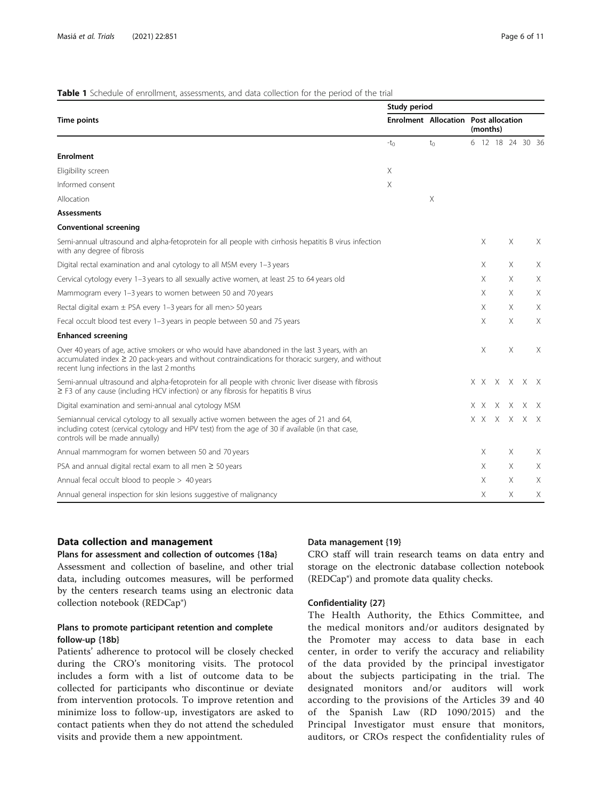# <span id="page-5-0"></span>Table 1 Schedule of enrollment, assessments, and data collection for the period of the trial

|                                                                                                                                                                                                                                                        |          | Study period |                                                         |       |  |          |                  |                           |  |
|--------------------------------------------------------------------------------------------------------------------------------------------------------------------------------------------------------------------------------------------------------|----------|--------------|---------------------------------------------------------|-------|--|----------|------------------|---------------------------|--|
| <b>Time points</b>                                                                                                                                                                                                                                     |          |              | <b>Enrolment Allocation Post allocation</b><br>(months) |       |  |          |                  |                           |  |
|                                                                                                                                                                                                                                                        | $-t_0$   | $t_0$        |                                                         |       |  |          | 6 12 18 24 30 36 |                           |  |
| <b>Enrolment</b>                                                                                                                                                                                                                                       |          |              |                                                         |       |  |          |                  |                           |  |
| Eligibility screen                                                                                                                                                                                                                                     | $\times$ |              |                                                         |       |  |          |                  |                           |  |
| Informed consent                                                                                                                                                                                                                                       | $\times$ |              |                                                         |       |  |          |                  |                           |  |
| Allocation                                                                                                                                                                                                                                             |          | $\times$     |                                                         |       |  |          |                  |                           |  |
| <b>Assessments</b>                                                                                                                                                                                                                                     |          |              |                                                         |       |  |          |                  |                           |  |
| <b>Conventional screening</b>                                                                                                                                                                                                                          |          |              |                                                         |       |  |          |                  |                           |  |
| Semi-annual ultrasound and alpha-fetoprotein for all people with cirrhosis hepatitis B virus infection<br>with any degree of fibrosis                                                                                                                  |          |              |                                                         | X     |  | X        |                  | Х                         |  |
| Digital rectal examination and anal cytology to all MSM every 1-3 years                                                                                                                                                                                |          |              |                                                         | X     |  | $\times$ |                  | Χ                         |  |
| Cervical cytology every 1-3 years to all sexually active women, at least 25 to 64 years old                                                                                                                                                            |          |              |                                                         | X     |  | X        |                  | Χ                         |  |
| Mammogram every 1-3 years to women between 50 and 70 years                                                                                                                                                                                             |          |              |                                                         | X     |  | X        |                  | $\boldsymbol{\mathsf{X}}$ |  |
| Rectal digital exam $\pm$ PSA every 1-3 years for all men > 50 years                                                                                                                                                                                   |          |              |                                                         | X     |  | Χ        |                  | Χ                         |  |
| Fecal occult blood test every 1-3 years in people between 50 and 75 years                                                                                                                                                                              |          |              |                                                         | X     |  | X        |                  | Χ                         |  |
| <b>Enhanced screening</b>                                                                                                                                                                                                                              |          |              |                                                         |       |  |          |                  |                           |  |
| Over 40 years of age, active smokers or who would have abandoned in the last 3 years, with an<br>$accumulated index \geq 20$ pack-years and without contraindications for thoracic surgery, and without<br>recent lung infections in the last 2 months |          |              |                                                         | X     |  | X        |                  | Χ                         |  |
| Semi-annual ultrasound and alpha-fetoprotein for all people with chronic liver disease with fibrosis<br>$\geq$ F3 of any cause (including HCV infection) or any fibrosis for hepatitis B virus                                                         |          |              |                                                         |       |  | XXXX     | X X              |                           |  |
| Digital examination and semi-annual anal cytology MSM                                                                                                                                                                                                  |          |              |                                                         |       |  | XXXX     | X X              |                           |  |
| Semiannual cervical cytology to all sexually active women between the ages of 21 and 64,<br>including cotest (cervical cytology and HPV test) from the age of 30 if available (in that case,<br>controls will be made annually)                        |          |              |                                                         | X X X |  | X.       | Χ                | X                         |  |
| Annual mammogram for women between 50 and 70 years                                                                                                                                                                                                     |          |              |                                                         | X     |  | X        |                  | Χ                         |  |
| PSA and annual digital rectal exam to all men $\geq$ 50 years                                                                                                                                                                                          |          |              |                                                         | X     |  | X.       |                  | Χ                         |  |
| Annual fecal occult blood to people > 40 years                                                                                                                                                                                                         |          |              |                                                         | X     |  | X        |                  | Χ                         |  |
| Annual general inspection for skin lesions suggestive of malignancy                                                                                                                                                                                    |          |              |                                                         | X     |  | Χ        |                  | Χ                         |  |

# Data collection and management

# Plans for assessment and collection of outcomes {18a}

Assessment and collection of baseline, and other trial data, including outcomes measures, will be performed by the centers research teams using an electronic data collection notebook (REDCap®)

# Plans to promote participant retention and complete follow-up {18b}

Patients' adherence to protocol will be closely checked during the CRO's monitoring visits. The protocol includes a form with a list of outcome data to be collected for participants who discontinue or deviate from intervention protocols. To improve retention and minimize loss to follow-up, investigators are asked to contact patients when they do not attend the scheduled visits and provide them a new appointment.

# Data management {19}

CRO staff will train research teams on data entry and storage on the electronic database collection notebook (REDCap®) and promote data quality checks.

### Confidentiality {27}

The Health Authority, the Ethics Committee, and the medical monitors and/or auditors designated by the Promoter may access to data base in each center, in order to verify the accuracy and reliability of the data provided by the principal investigator about the subjects participating in the trial. The designated monitors and/or auditors will work according to the provisions of the Articles 39 and 40 of the Spanish Law (RD 1090/2015) and the Principal Investigator must ensure that monitors, auditors, or CROs respect the confidentiality rules of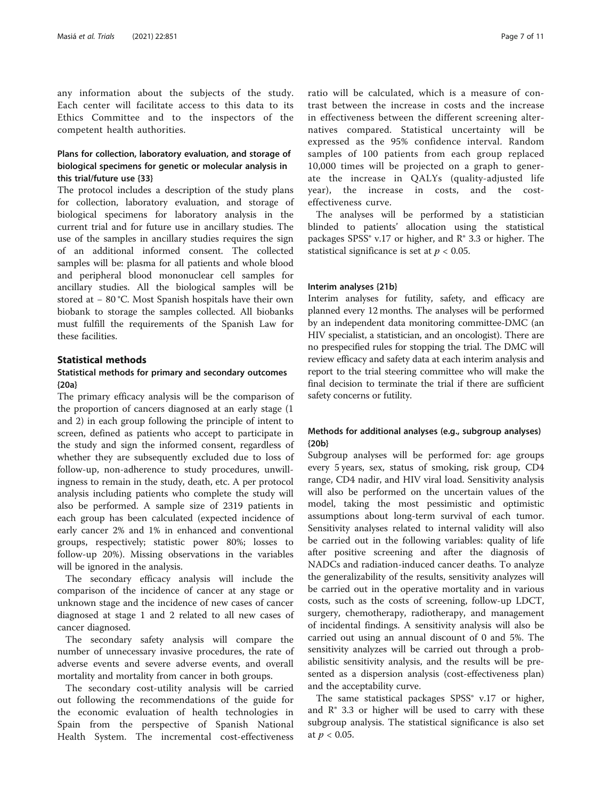any information about the subjects of the study. Each center will facilitate access to this data to its Ethics Committee and to the inspectors of the competent health authorities.

# Plans for collection, laboratory evaluation, and storage of biological specimens for genetic or molecular analysis in this trial/future use {33}

The protocol includes a description of the study plans for collection, laboratory evaluation, and storage of biological specimens for laboratory analysis in the current trial and for future use in ancillary studies. The use of the samples in ancillary studies requires the sign of an additional informed consent. The collected samples will be: plasma for all patients and whole blood and peripheral blood mononuclear cell samples for ancillary studies. All the biological samples will be stored at − 80 °C. Most Spanish hospitals have their own biobank to storage the samples collected. All biobanks must fulfill the requirements of the Spanish Law for these facilities.

# Statistical methods

# Statistical methods for primary and secondary outcomes {20a}

The primary efficacy analysis will be the comparison of the proportion of cancers diagnosed at an early stage (1 and 2) in each group following the principle of intent to screen, defined as patients who accept to participate in the study and sign the informed consent, regardless of whether they are subsequently excluded due to loss of follow-up, non-adherence to study procedures, unwillingness to remain in the study, death, etc. A per protocol analysis including patients who complete the study will also be performed. A sample size of 2319 patients in each group has been calculated (expected incidence of early cancer 2% and 1% in enhanced and conventional groups, respectively; statistic power 80%; losses to follow-up 20%). Missing observations in the variables will be ignored in the analysis.

The secondary efficacy analysis will include the comparison of the incidence of cancer at any stage or unknown stage and the incidence of new cases of cancer diagnosed at stage 1 and 2 related to all new cases of cancer diagnosed.

The secondary safety analysis will compare the number of unnecessary invasive procedures, the rate of adverse events and severe adverse events, and overall mortality and mortality from cancer in both groups.

The secondary cost-utility analysis will be carried out following the recommendations of the guide for the economic evaluation of health technologies in Spain from the perspective of Spanish National Health System. The incremental cost-effectiveness

ratio will be calculated, which is a measure of contrast between the increase in costs and the increase in effectiveness between the different screening alternatives compared. Statistical uncertainty will be expressed as the 95% confidence interval. Random samples of 100 patients from each group replaced 10,000 times will be projected on a graph to generate the increase in QALYs (quality-adjusted life year), the increase in costs, and the costeffectiveness curve.

The analyses will be performed by a statistician blinded to patients' allocation using the statistical packages SPSS® v.17 or higher, and R® 3.3 or higher. The statistical significance is set at  $p < 0.05$ .

# Interim analyses {21b}

Interim analyses for futility, safety, and efficacy are planned every 12 months. The analyses will be performed by an independent data monitoring committee-DMC (an HIV specialist, a statistician, and an oncologist). There are no prespecified rules for stopping the trial. The DMC will review efficacy and safety data at each interim analysis and report to the trial steering committee who will make the final decision to terminate the trial if there are sufficient safety concerns or futility.

# Methods for additional analyses (e.g., subgroup analyses) {20b}

Subgroup analyses will be performed for: age groups every 5 years, sex, status of smoking, risk group, CD4 range, CD4 nadir, and HIV viral load. Sensitivity analysis will also be performed on the uncertain values of the model, taking the most pessimistic and optimistic assumptions about long-term survival of each tumor. Sensitivity analyses related to internal validity will also be carried out in the following variables: quality of life after positive screening and after the diagnosis of NADCs and radiation-induced cancer deaths. To analyze the generalizability of the results, sensitivity analyzes will be carried out in the operative mortality and in various costs, such as the costs of screening, follow-up LDCT, surgery, chemotherapy, radiotherapy, and management of incidental findings. A sensitivity analysis will also be carried out using an annual discount of 0 and 5%. The sensitivity analyzes will be carried out through a probabilistic sensitivity analysis, and the results will be presented as a dispersion analysis (cost-effectiveness plan) and the acceptability curve.

The same statistical packages SPSS<sup>®</sup> v.17 or higher, and  $\mathbb{R}^8$  3.3 or higher will be used to carry with these subgroup analysis. The statistical significance is also set at  $p < 0.05$ .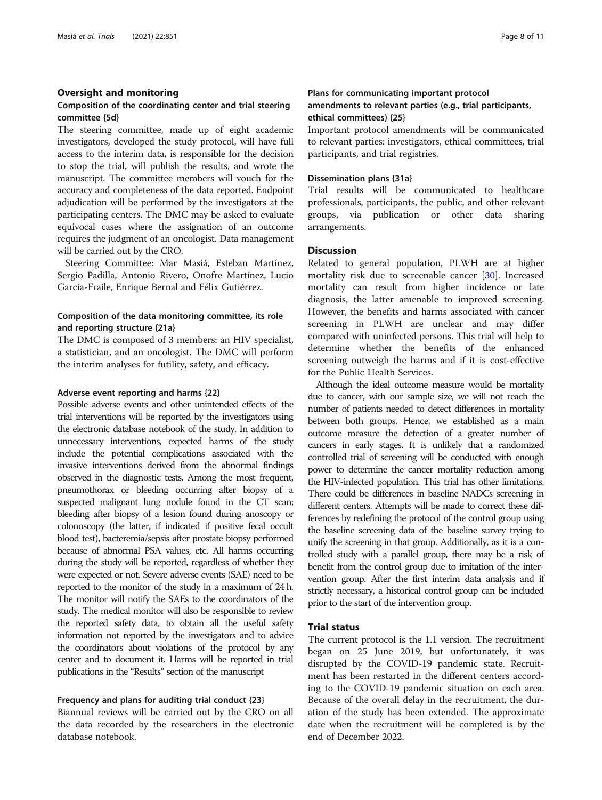# Oversight and monitoring

# Composition of the coordinating center and trial steering committee {5d}

The steering committee, made up of eight academic investigators, developed the study protocol, will have full access to the interim data, is responsible for the decision to stop the trial, will publish the results, and wrote the manuscript. The committee members will vouch for the accuracy and completeness of the data reported. Endpoint adjudication will be performed by the investigators at the participating centers. The DMC may be asked to evaluate equivocal cases where the assignation of an outcome requires the judgment of an oncologist. Data management will be carried out by the CRO.

Steering Committee: Mar Masiá, Esteban Martínez, Sergio Padilla, Antonio Rivero, Onofre Martínez, Lucio García-Fraile, Enrique Bernal and Félix Gutiérrez.

# Composition of the data monitoring committee, its role and reporting structure {21a}

The DMC is composed of 3 members: an HIV specialist, a statistician, and an oncologist. The DMC will perform the interim analyses for futility, safety, and efficacy.

# Adverse event reporting and harms {22}

Possible adverse events and other unintended effects of the trial interventions will be reported by the investigators using the electronic database notebook of the study. In addition to unnecessary interventions, expected harms of the study include the potential complications associated with the invasive interventions derived from the abnormal findings observed in the diagnostic tests. Among the most frequent, pneumothorax or bleeding occurring after biopsy of a suspected malignant lung nodule found in the CT scan; bleeding after biopsy of a lesion found during anoscopy or colonoscopy (the latter, if indicated if positive fecal occult blood test), bacteremia/sepsis after prostate biopsy performed because of abnormal PSA values, etc. All harms occurring during the study will be reported, regardless of whether they were expected or not. Severe adverse events (SAE) need to be reported to the monitor of the study in a maximum of 24 h. The monitor will notify the SAEs to the coordinators of the study. The medical monitor will also be responsible to review the reported safety data, to obtain all the useful safety information not reported by the investigators and to advice the coordinators about violations of the protocol by any center and to document it. Harms will be reported in trial publications in the "Results" section of the manuscript

### Frequency and plans for auditing trial conduct {23}

Biannual reviews will be carried out by the CRO on all the data recorded by the researchers in the electronic database notebook.

# Plans for communicating important protocol amendments to relevant parties (e.g., trial participants, ethical committees) {25}

Important protocol amendments will be communicated to relevant parties: investigators, ethical committees, trial participants, and trial registries.

# Dissemination plans {31a}

Trial results will be communicated to healthcare professionals, participants, the public, and other relevant groups, via publication or other data sharing arrangements.

# **Discussion**

Related to general population, PLWH are at higher mortality risk due to screenable cancer [[30\]](#page-10-0). Increased mortality can result from higher incidence or late diagnosis, the latter amenable to improved screening. However, the benefits and harms associated with cancer screening in PLWH are unclear and may differ compared with uninfected persons. This trial will help to determine whether the benefits of the enhanced screening outweigh the harms and if it is cost-effective for the Public Health Services.

Although the ideal outcome measure would be mortality due to cancer, with our sample size, we will not reach the number of patients needed to detect differences in mortality between both groups. Hence, we established as a main outcome measure the detection of a greater number of cancers in early stages. It is unlikely that a randomized controlled trial of screening will be conducted with enough power to determine the cancer mortality reduction among the HIV-infected population. This trial has other limitations. There could be differences in baseline NADCs screening in different centers. Attempts will be made to correct these differences by redefining the protocol of the control group using the baseline screening data of the baseline survey trying to unify the screening in that group. Additionally, as it is a controlled study with a parallel group, there may be a risk of benefit from the control group due to imitation of the intervention group. After the first interim data analysis and if strictly necessary, a historical control group can be included prior to the start of the intervention group.

# Trial status

The current protocol is the 1.1 version. The recruitment began on 25 June 2019, but unfortunately, it was disrupted by the COVID-19 pandemic state. Recruitment has been restarted in the different centers according to the COVID-19 pandemic situation on each area. Because of the overall delay in the recruitment, the duration of the study has been extended. The approximate date when the recruitment will be completed is by the end of December 2022.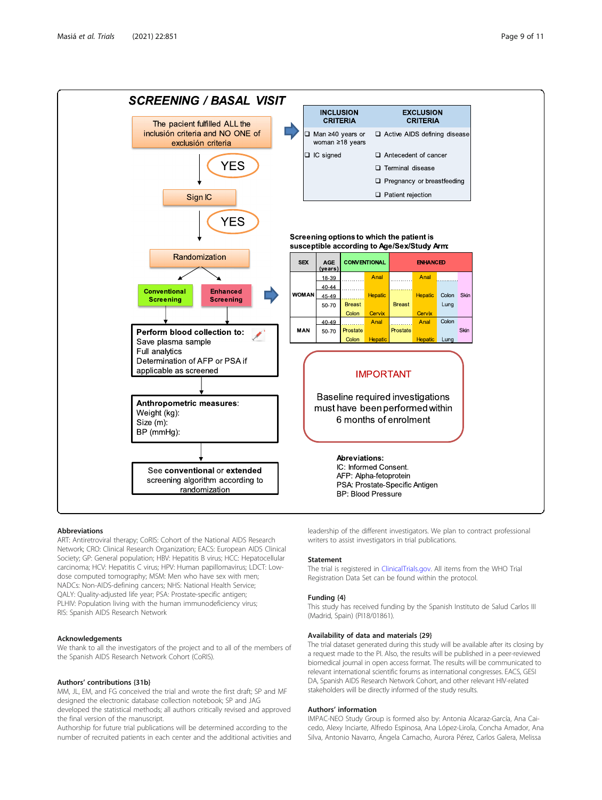

#### Abbreviations

ART: Antiretroviral therapy; CoRIS: Cohort of the National AIDS Research Network; CRO: Clinical Research Organization; EACS: European AIDS Clinical Society; GP: General population; HBV: Hepatitis B virus; HCC: Hepatocellular carcinoma; HCV: Hepatitis C virus; HPV: Human papillomavirus; LDCT: Lowdose computed tomography; MSM: Men who have sex with men; NADCs: Non-AIDS-defining cancers; NHS: National Health Service; QALY: Quality-adjusted life year; PSA: Prostate-specific antigen; PLHIV: Population living with the human immunodeficiency virus; RIS: Spanish AIDS Research Network

#### Acknowledgements

We thank to all the investigators of the project and to all of the members of the Spanish AIDS Research Network Cohort (CoRIS).

#### Authors' contributions {31b}

MM, JL, EM, and FG conceived the trial and wrote the first draft; SP and MF designed the electronic database collection notebook; SP and JAG developed the statistical methods; all authors critically revised and approved

the final version of the manuscript. Authorship for future trial publications will be determined according to the

number of recruited patients in each center and the additional activities and

leadership of the different investigators. We plan to contract professional writers to assist investigators in trial publications.

#### Statement

The trial is registered in [ClinicalTrials.gov](http://clinicaltrials.gov). All items from the WHO Trial Registration Data Set can be found within the protocol.

#### Funding {4}

This study has received funding by the Spanish Instituto de Salud Carlos III (Madrid, Spain) (PI18/01861).

#### Availability of data and materials {29}

The trial dataset generated during this study will be available after its closing by a request made to the PI. Also, the results will be published in a peer-reviewed biomedical journal in open access format. The results will be communicated to relevant international scientific forums as international congresses. EACS, GESI DA, Spanish AIDS Research Network Cohort, and other relevant HIV-related stakeholders will be directly informed of the study results.

#### Authors' information

IMPAC-NEO Study Group is formed also by: Antonia Alcaraz-García, Ana Caicedo, Alexy Inciarte, Alfredo Espinosa, Ana López-Lirola, Concha Amador, Ana Silva, Antonio Navarro, Ángela Camacho, Aurora Pérez, Carlos Galera, Melissa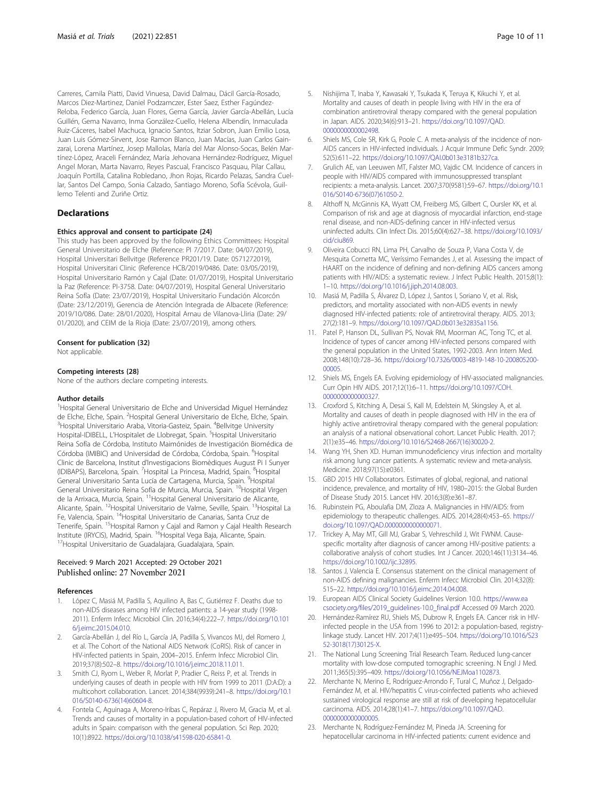<span id="page-9-0"></span>Carreres, Camila Piatti, David Vinuesa, David Dalmau, Dácil García-Rosado, Marcos Diez-Martinez, Daniel Podzamczer, Ester Saez, Esther Fagúndez-Reloba, Federico García, Juan Flores, Gema García, Javier García-Abellán, Lucía Guillén, Gema Navarro, Inma González-Cuello, Helena Albendín, Inmaculada Ruiz-Cáceres, Isabel Machuca, Ignacio Santos, Itziar Sobron, Juan Emilio Losa, Juan Luis Gómez-Sirvent, Jose Ramon Blanco, Juan Macías, Juan Carlos Gainzarai, Lorena Martínez, Josep Mallolas, María del Mar Alonso-Socas, Belén Martínez-López, Araceli Fernández, María Jehovana Hernández-Rodríguez, Miguel Angel Moran, Marta Navarro, Reyes Pascual, Francisco Pasquau, Pilar Callau, Joaquín Portilla, Catalina Robledano, Jhon Rojas, Ricardo Pelazas, Sandra Cuellar, Santos Del Campo, Sonia Calzado, Santiago Moreno, Sofía Scévola, Guillemo Telenti and Zuriñe Ortiz.

### **Declarations**

#### Ethics approval and consent to participate {24}

This study has been approved by the following Ethics Committees: Hospital General Universitario de Elche (Reference: PI 7/2017. Date: 04/07/2019), Hospital Universitari Bellvitge (Reference PR201/19. Date: 0571272019), Hospital Universitari Clinic (Reference HCB/2019/0486. Date: 03/05/2019), Hospital Universitario Ramón y Cajal (Date: 01/07/2019), Hospital Universitario la Paz (Reference: PI-3758. Date: 04/07/2019), Hospital General Universitario Reina Sofía (Date: 23/07/2019), Hospital Universitario Fundación Alcorcón (Date: 23/12/2019), Gerencia de Atención Integrada de Albacete (Reference: 2019/10/086. Date: 28/01/2020), Hospital Arnau de Vilanova-Lliria (Date: 29/ 01/2020), and CEIM de la Rioja (Date: 23/07/2019), among others.

#### Consent for publication {32}

Not applicable.

#### Competing interests {28}

None of the authors declare competing interests.

#### Author details

<sup>1</sup> Hospital General Universitario de Elche and Universidad Miguel Hernández de Elche, Elche, Spain. <sup>2</sup>Hospital General Universitario de Elche, Elche, Spain.<br><sup>3</sup>Hospital Universitario Araba Vitoria Gasteiz, Spain. <sup>4</sup>Bellviteo University. Hospital Universitario Araba, Vitoria-Gasteiz, Spain. <sup>4</sup>Bellvitge University Hospital-IDIBELL, L'Hospitalet de Llobregat, Spain. <sup>5</sup>Hospital Universitario Reina Sofía de Córdoba, Instituto Maimónides de Investigación Biomédica de Córdoba (IMIBIC) and Universidad de Córdoba, Córdoba, Spain. <sup>6</sup>Hospital Clinic de Barcelona, Institut d'Investigacions Biomèdiques August Pi I Sunyer (IDIBAPS), Barcelona, Spain. <sup>7</sup>Hospital La Princesa, Madrid, Spain. <sup>8</sup>Hospital General Universitario Santa Lucía de Cartagena, Murcia, Spain. <sup>9</sup>Hospital General Universitario Reina Sofía de Murcia, Murcia, Spain. <sup>10</sup>Hospital Virgen de la Arrixaca, Murcia, Spain. 11Hospital General Universitario de Alicante, Alicante, Spain. 12Hospital Universitario de Valme, Seville, Spain. 13Hospital La Fe, Valencia, Spain. 14Hospital Universitario de Canarias, Santa Cruz de Tenerife, Spain. 15Hospital Ramon y Cajal and Ramon y Cajal Health Research Institute (IRYCIS), Madrid, Spain. <sup>16</sup>Hospital Vega Baja, Alicante, Spain.<br><sup>17</sup>Hospital Universitario de Guadalajara, Guadalajara, Spain.

# Received: 9 March 2021 Accepted: 29 October 2021 Published online: 27 November 2021

#### References

- 1. López C, Masiá M, Padilla S, Aquilino A, Bas C, Gutiérrez F. Deaths due to non-AIDS diseases among HIV infected patients: a 14-year study (1998- 2011). Enferm Infecc Microbiol Clin. 2016;34(4):222–7. [https://doi.org/10.101](https://doi.org/10.1016/j.eimc.2015.04.010) [6/j.eimc.2015.04.010](https://doi.org/10.1016/j.eimc.2015.04.010).
- 2. García-Abellán J, del Río L, García JA, Padilla S, Vivancos MJ, del Romero J, et al. The Cohort of the National AIDS Network (CoRIS). Risk of cancer in HIV-infected patients in Spain, 2004–2015. Enferm Infecc Microbiol Clin. 2019;37(8):502–8. <https://doi.org/10.1016/j.eimc.2018.11.011>.
- 3. Smith CJ, Ryom L, Weber R, Morlat P, Pradier C, Reiss P, et al. Trends in underlying causes of death in people with HIV from 1999 to 2011 (D:A:D): a multicohort collaboration. Lancet. 2014;384(9939):241–8. [https://doi.org/10.1](https://doi.org/10.1016/S0140-6736(14)60604-8) [016/S0140-6736\(14\)60604-8](https://doi.org/10.1016/S0140-6736(14)60604-8).
- 4. Fontela C, Aguinaga A, Moreno-Iribas C, Repáraz J, Rivero M, Gracia M, et al. Trends and causes of mortality in a population-based cohort of HIV-infected adults in Spain: comparison with the general population. Sci Rep. 2020; 10(1):8922. [https://doi.org/10.1038/s41598-020-65841-0.](https://doi.org/10.1038/s41598-020-65841-0)
- 5. Nishijima T, Inaba Y, Kawasaki Y, Tsukada K, Teruya K, Kikuchi Y, et al. Mortality and causes of death in people living with HIV in the era of combination antiretroviral therapy compared with the general population in Japan. AIDS. 2020;34(6):913–21. [https://doi.org/10.1097/QAD.](https://doi.org/10.1097/QAD.0000000000002498) [0000000000002498](https://doi.org/10.1097/QAD.0000000000002498)
- 6. Shiels MS, Cole SR, Kirk G, Poole C. A meta-analysis of the incidence of non-AIDS cancers in HIV-infected individuals. J Acquir Immune Defic Syndr. 2009; 52(5):611–22. [https://doi.org/10.1097/QAI.0b013e3181b327ca.](https://doi.org/10.1097/QAI.0b013e3181b327ca)
- 7. Grulich AE, van Leeuwen MT, Falster MO, Vajdic CM. Incidence of cancers in people with HIV/AIDS compared with immunosuppressed transplant recipients: a meta-analysis. Lancet. 2007;370(9581):59–67. [https://doi.org/10.1](https://doi.org/10.1016/S0140-6736(07)61050-2) [016/S0140-6736\(07\)61050-2](https://doi.org/10.1016/S0140-6736(07)61050-2).
- 8. Althoff N, McGinnis KA, Wyatt CM, Freiberg MS, Gilbert C, Oursler KK, et al. Comparison of risk and age at diagnosis of myocardial infarction, end-stage renal disease, and non-AIDS-defining cancer in HIV-infected versus uninfected adults. Clin Infect Dis. 2015;60(4):627–38. [https://doi.org/10.1093/](https://doi.org/10.1093/cid/ciu869) [cid/ciu869](https://doi.org/10.1093/cid/ciu869).
- 9. Oliveira Cobucci RN, Lima PH, Carvalho de Souza P, Viana Costa V, de Mesquita Cornetta MC, Veríssimo Fernandes J, et al. Assessing the impact of HAART on the incidence of defining and non-defining AIDS cancers among patients with HIV/AIDS: a systematic review. J Infect Public Health. 2015;8(1): 1–10. [https://doi.org/10.1016/j.jiph.2014.08.003.](https://doi.org/10.1016/j.jiph.2014.08.003)
- 10. Masiá M, Padilla S, Álvarez D, López J, Santos I, Soriano V, et al. Risk, predictors, and mortality associated with non-AIDS events in newly diagnosed HIV-infected patients: role of antiretroviral therapy. AIDS. 2013; 27(2):181–9. <https://doi.org/10.1097/QAD.0b013e32835a1156>.
- 11. Patel P, Hanson DL, Sullivan PS, Novak RM, Moorman AC, Tong TC, et al. Incidence of types of cancer among HIV-infected persons compared with the general population in the United States, 1992-2003. Ann Intern Med. 2008;148(10):728–36. [https://doi.org/10.7326/0003-4819-148-10-200805200-](https://doi.org/10.7326/0003-4819-148-10-200805200-00005) [00005.](https://doi.org/10.7326/0003-4819-148-10-200805200-00005)
- 12. Shiels MS, Engels EA. Evolving epidemiology of HIV-associated malignancies. Curr Opin HIV AIDS. 2017;12(1):6–11. [https://doi.org/10.1097/COH.](https://doi.org/10.1097/COH.0000000000000327) [0000000000000327](https://doi.org/10.1097/COH.0000000000000327).
- 13. Croxford S, Kitching A, Desai S, Kall M, Edelstein M, Skingsley A, et al. Mortality and causes of death in people diagnosed with HIV in the era of highly active antiretroviral therapy compared with the general population: an analysis of a national observational cohort. Lancet Public Health. 2017; 2(1):e35–46. [https://doi.org/10.1016/S2468-2667\(16\)30020-2](https://doi.org/10.1016/S2468-2667(16)30020-2).
- 14. Wang YH, Shen XD. Human immunodeficiency virus infection and mortality risk among lung cancer patients. A systematic review and meta-analysis. Medicine. 2018;97(15):e0361.
- 15. GBD 2015 HIV Collaborators. Estimates of global, regional, and national incidence, prevalence, and mortality of HIV, 1980–2015: the Global Burden of Disease Study 2015. Lancet HIV. 2016;3(8):e361–87.
- 16. Rubinstein PG, Aboulafia DM, Zloza A. Malignancies in HIV/AIDS: from epidemiology to therapeutic challenges. AIDS. 2014;28(4):453–65. [https://](https://doi.org/10.1097/QAD.0000000000000071) [doi.org/10.1097/QAD.0000000000000071.](https://doi.org/10.1097/QAD.0000000000000071)
- 17. Trickey A, May MT, Gill MJ, Grabar S, Vehreschild J, Wit FWNM. Causespecific mortality after diagnosis of cancer among HIV-positive patients: a collaborative analysis of cohort studies. Int J Cancer. 2020;146(11):3134–46. <https://doi.org/10.1002/ijc.32895>.
- 18. Santos J, Valencia E. Consensus statement on the clinical management of non-AIDS defining malignancies. Enferm Infecc Microbiol Clin. 2014;32(8): 515–22. [https://doi.org/10.1016/j.eimc.2014.04.008.](https://doi.org/10.1016/j.eimc.2014.04.008)
- 19. European AIDS Clinical Society Guidelines Version 10.0. [https://www.ea](https://www.eacsociety.org/files/2019_guidelines-10.0_final.pdf) [csociety.org/files/2019\\_guidelines-10.0\\_final.pdf](https://www.eacsociety.org/files/2019_guidelines-10.0_final.pdf) Accessed 09 March 2020.
- 20. Hernández-Ramírez RU, Shiels MS, Dubrow R, Engels EA. Cancer risk in HIVinfected people in the USA from 1996 to 2012: a population-based, registrylinkage study. Lancet HIV. 2017;4(11):e495–504. [https://doi.org/10.1016/S23](https://doi.org/10.1016/S2352-3018(17)30125-X) [52-3018\(17\)30125-X.](https://doi.org/10.1016/S2352-3018(17)30125-X)
- 21. The National Lung Screening Trial Research Team. Reduced lung-cancer mortality with low-dose computed tomographic screening. N Engl J Med. 2011;365(5):395–409. <https://doi.org/10.1056/NEJMoa1102873>.
- 22. Merchante N, Merino E, Rodríguez-Arrondo F, Tural C, Muñoz J, Delgado-Fernández M, et al. HIV/hepatitis C virus-coinfected patients who achieved sustained virological response are still at risk of developing hepatocellular carcinoma. AIDS. 2014;28(1):41–7. [https://doi.org/10.1097/QAD.](https://doi.org/10.1097/QAD.0000000000000005) [0000000000000005](https://doi.org/10.1097/QAD.0000000000000005).
- 23. Merchante N, Rodríguez-Fernández M, Pineda JA. Screening for hepatocellular carcinoma in HIV-infected patients: current evidence and